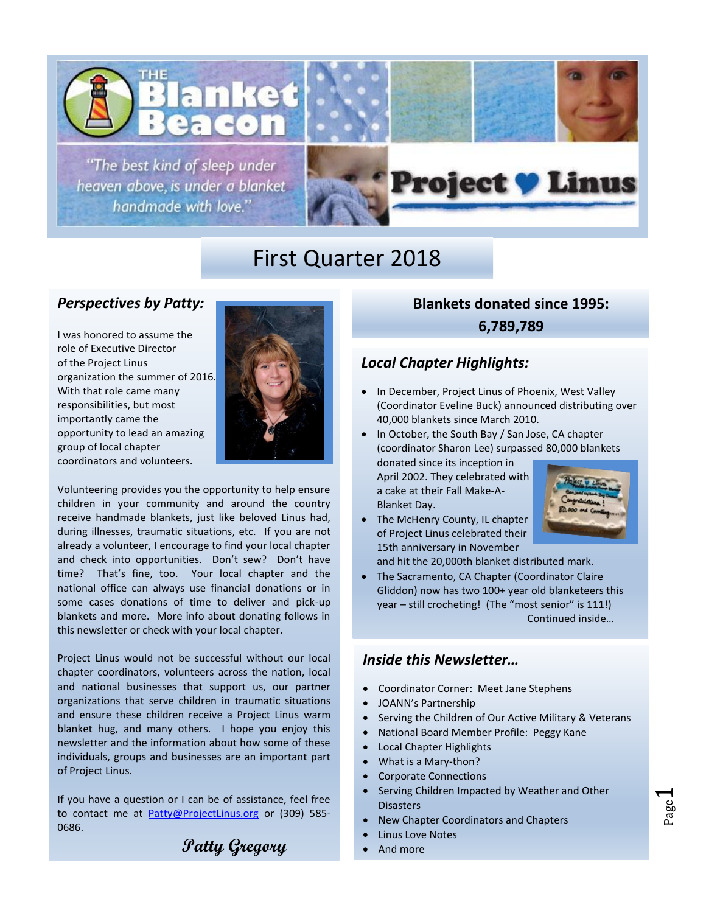

"The best kind of sleep under heaven above, is under a blanket handmade with love."



# First Quarter 2018

### *Perspectives by Patty:*

I was honored to assume the role of Executive Director of the Project Linus organization the summer of 2016. With that role came many responsibilities, but most importantly came the opportunity to lead an amazing group of local chapter coordinators and volunteers.



Volunteering provides you the opportunity to help ensure children in your community and around the country receive handmade blankets, just like beloved Linus had, during illnesses, traumatic situations, etc. If you are not already a volunteer, I encourage to find your local chapter and check into opportunities. Don't sew? Don't have time? That's fine, too. Your local chapter and the national office can always use financial donations or in some cases donations of time to deliver and pick-up blankets and more. More info about donating follows in this newsletter or check with your local chapter.

Project Linus would not be successful without our local chapter coordinators, volunteers across the nation, local and national businesses that support us, our partner organizations that serve children in traumatic situations and ensure these children receive a Project Linus warm blanket hug, and many others. I hope you enjoy this newsletter and the information about how some of these individuals, groups and businesses are an important part of Project Linus.

If you have a question or I can be of assistance, feel free to contact me at **Patty@ProjectLinus.org** or (309) 585-0686.

**Patty Gregory**

**Blankets donated since 1995: 6,789,789**

## *Local Chapter Highlights:*

- In December, Project Linus of Phoenix, West Valley (Coordinator Eveline Buck) announced distributing over 40,000 blankets since March 2010.
- In October, the South Bay / San Jose, CA chapter (coordinator Sharon Lee) surpassed 80,000 blankets donated since its inception in

April 2002. They celebrated with a cake at their Fall Make-A-Blanket Day.

• The McHenry County, IL chapter of Project Linus celebrated their 15th anniversary in November



and hit the 20,000th blanket distributed mark. • The Sacramento, CA Chapter (Coordinator Claire Gliddon) now has two 100+ year old blanketeers this year – still crocheting! (The "most senior" is 111!)

Continued inside…

Page  $\overline{\phantom{0}}$ 

### *Inside this Newsletter…*

- Coordinator Corner: Meet Jane Stephens
- JOANN's Partnership
- Serving the Children of Our Active Military & Veterans
- National Board Member Profile: Peggy Kane
- Local Chapter Highlights
- What is a Mary-thon?
- Corporate Connections
- Serving Children Impacted by Weather and Other **Disasters**
- New Chapter Coordinators and Chapters
- **Linus Love Notes**
- And more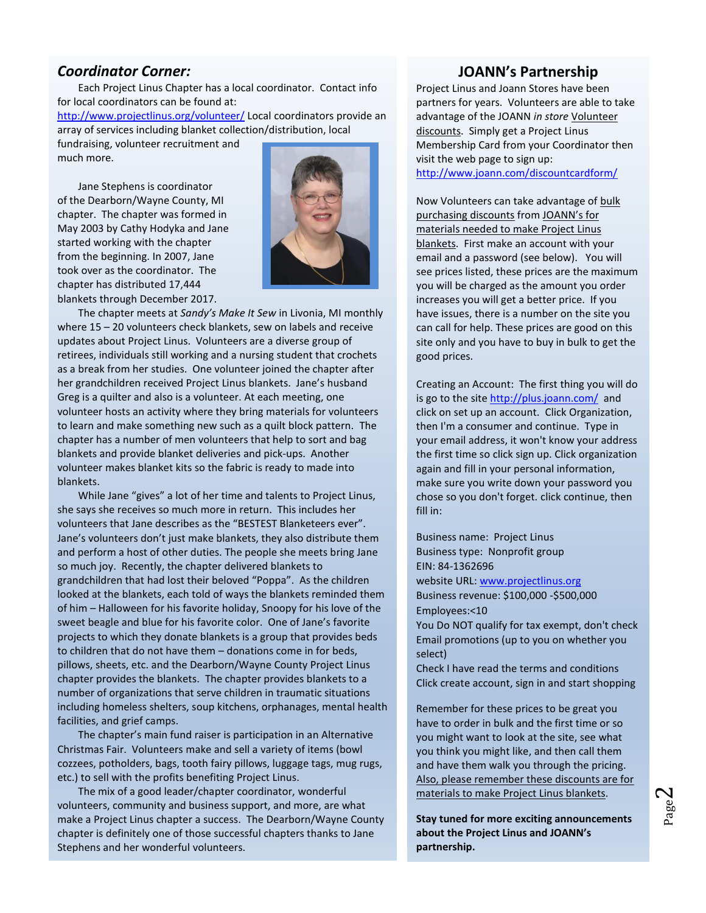### *Coordinator Corner:*

much more.

Each Project Linus Chapter has a local coordinator. Contact info for local coordinators can be found at: <http://www.projectlinus.org/volunteer/> Local coordinators provide an array of services including blanket collection/distribution, local fundraising, volunteer recruitment and

took over as the coordinator. The Jane Stephens is coordinator of the Dearborn/Wayne County, MI chapter. The chapter was formed in May 2003 by Cathy Hodyka and Jane started working with the chapter from the beginning. In 2007, Jane chapter has distributed 17,444 blankets through December 2017.



The chapter meets at *Sandy's Make It Sew* in Livonia, MI monthly where 15 – 20 volunteers check blankets, sew on labels and receive updates about Project Linus. Volunteers are a diverse group of retirees, individuals still working and a nursing student that crochets as a break from her studies. One volunteer joined the chapter after her grandchildren received Project Linus blankets. Jane's husband Greg is a quilter and also is a volunteer. At each meeting, one volunteer hosts an activity where they bring materials for volunteers to learn and make something new such as a quilt block pattern. The chapter has a number of men volunteers that help to sort and bag blankets and provide blanket deliveries and pick-ups. Another volunteer makes blanket kits so the fabric is ready to made into blankets.

While Jane "gives" a lot of her time and talents to Project Linus, she says she receives so much more in return. This includes her volunteers that Jane describes as the "BESTEST Blanketeers ever". Jane's volunteers don't just make blankets, they also distribute them and perform a host of other duties. The people she meets bring Jane so much joy. Recently, the chapter delivered blankets to grandchildren that had lost their beloved "Poppa". As the children looked at the blankets, each told of ways the blankets reminded them of him – Halloween for his favorite holiday, Snoopy for his love of the sweet beagle and blue for his favorite color. One of Jane's favorite projects to which they donate blankets is a group that provides beds to children that do not have them – donations come in for beds, pillows, sheets, etc. and the Dearborn/Wayne County Project Linus chapter provides the blankets. The chapter provides blankets to a number of organizations that serve children in traumatic situations including homeless shelters, soup kitchens, orphanages, mental health facilities, and grief camps.

The chapter's main fund raiser is participation in an Alternative Christmas Fair. Volunteers make and sell a variety of items (bowl cozzees, potholders, bags, tooth fairy pillows, luggage tags, mug rugs, etc.) to sell with the profits benefiting Project Linus.

The mix of a good leader/chapter coordinator, wonderful volunteers, community and business support, and more, are what make a Project Linus chapter a success. The Dearborn/Wayne County chapter is definitely one of those successful chapters thanks to Jane Stephens and her wonderful volunteers.

### **JOANN's Partnership**

Project Linus and Joann Stores have been partners for years. Volunteers are able to take advantage of the JOANN *in store* Volunteer discounts. Simply get a Project Linus Membership Card from your Coordinator then visit the web page to sign up: <http://www.joann.com/discountcardform/>

Now Volunteers can take advantage of bulk purchasing discounts from JOANN's for materials needed to make Project Linus blankets. First make an account with your email and a password (see below). You will see prices listed, these prices are the maximum you will be charged as the amount you order increases you will get a better price. If you have issues, there is a number on the site you can call for help. These prices are good on this site only and you have to buy in bulk to get the good prices.

Creating an Account: The first thing you will do is go to the site<http://plus.joann.com/>and click on set up an account. Click Organization, then I'm a consumer and continue. Type in your email address, it won't know your address the first time so click sign up. Click organization again and fill in your personal information, make sure you write down your password you chose so you don't forget. click continue, then fill in:

• Business name: Project Linus • Business type: Nonprofit group • EIN: 84-1362696 website URL: [www.projectlinus.org](http://r20.rs6.net/tn.jsp?f=001arOyp7NN4gHz-yyMhj-YC7cNgyAjqxFGaFFHB9lmzjxIf1-E5J5RuAaafEuUYssFVt7NTw0R7egHwB1iub5XQu2SVEeMVNx9MBY9QiF-GntlDZk0DTX94Is_1toaYl28fKdkYdR1gXHdaKHYyle3SMig8EgxfB9NvTzunOXDAe4=&c=X-m2g9ZYc5yDafSQuZD_q-MxC2gu1Uz4OhLrSUYG3B_y6nTeDka1-g==&ch=FtoJ2tYNWj4BOaByjMuvipZj-LBqJi18ib6VcvKaqO3JXNSQ368mpQ==) • Business revenue: \$100,000 -\$500,000 • Employees:<10 You Do NOT qualify for tax exempt, don't check

• Email promotions (up to you on whether you select)

• Check I have read the terms and conditions • Click create account, sign in and start shopping

Remember for these prices to be great you have to order in bulk and the first time or so you might want to look at the site, see what you think you might like, and then call them and have them walk you through the pricing. Also, please remember these discounts are for materials to make Project Linus blankets.

**Stay tuned for more exciting announcements about the Project Linus and JOANN's partnership.**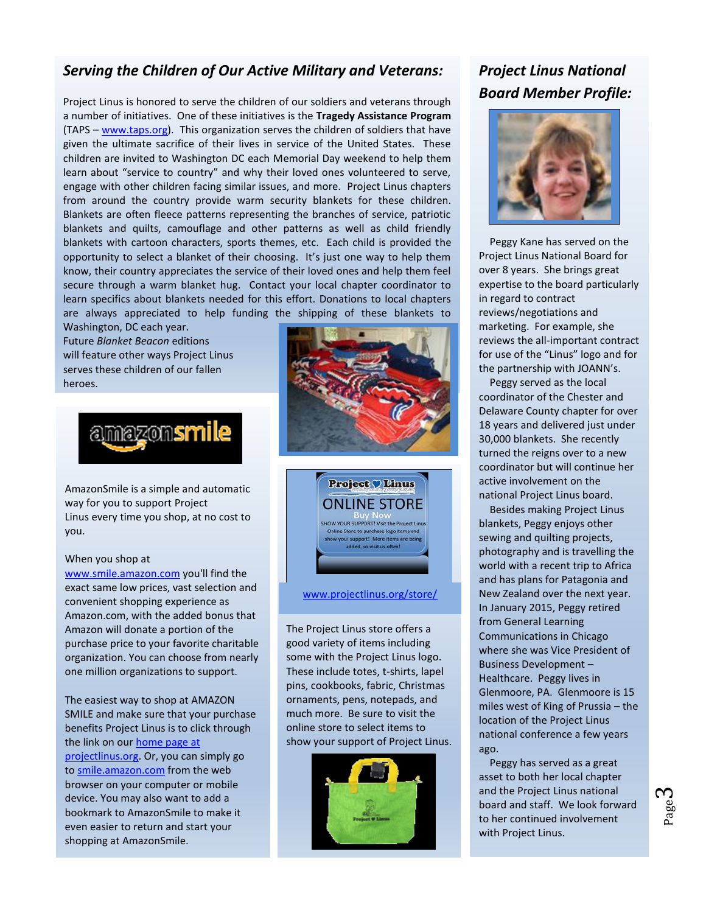# *Serving the Children of Our Active Military and Veterans:*

Project Linus is honored to serve the children of our soldiers and veterans through a number of initiatives. One of these initiatives is the **Tragedy Assistance Program** (TAPS – [www.taps.org\)](http://www.taps.org/). This organization serves the children of soldiers that have given the ultimate sacrifice of their lives in service of the United States. These children are invited to Washington DC each Memorial Day weekend to help them learn about "service to country" and why their loved ones volunteered to serve, engage with other children facing similar issues, and more. Project Linus chapters from around the country provide warm security blankets for these children. Blankets are often fleece patterns representing the branches of service, patriotic blankets and quilts, camouflage and other patterns as well as child friendly blankets with cartoon characters, sports themes, etc. Each child is provided the opportunity to select a blanket of their choosing. It's just one way to help them know, their country appreciates the service of their loved ones and help them feel secure through a warm blanket hug. Contact your local chapter coordinator to learn specifics about blankets needed for this effort. Donations to local chapters are always appreciated to help funding the shipping of these blankets to

Washington, DC each year. Future *Blanket Beacon* editions will feature other ways Project Linus serves these children of our fallen heroes.



AmazonSmile is a simple and automatic way for you to support Project Linus every time you shop, at no cost to you.

#### When you shop at

[www.smile.amazon.com](http://www.smile.amazon.com/) you'll find the exact same low prices, vast selection and convenient shopping experience as Amazon.com, with the added bonus that Amazon will donate a portion of the purchase price to your favorite charitable organization. You can choose from nearly one million organizations to support.

The easiest way to shop at AMAZON SMILE and make sure that your purchase benefits Project Linus is to click through the link on our home page at [projectlinus.org.](http://r20.rs6.net/tn.jsp?f=001WqSvkE0tDiLzfvhV3Twsp69b61qnKNrblFtNxpShDhbumPyLkNro3zzEiPIIbnw_mirwfJgV7ZaDIyHjrAIps9K67Veo28zI8cEKbBl8_mlpiAOGT09V52jmrjTnSuP9vveqiob9o4kVinDo9wh9RIfZr7hG0j26hY3wT4i_Fh4=&c=2u5ga28dz7iA7UYwOs7J0_ADGK96dCfzaCGyhEgYkNp5hz31RbpuAw==&ch=4AcgdAFjQlsnGSPVGWMM5B7i7g5jWmZZk1TuGeZ5ON1BBhWMsmqezA==) Or, you can simply go to [smile.amazon.com](http://smile.amazon.com/) from the web browser on your computer or mobile device. You may also want to add a bookmark to AmazonSmile to make it even easier to return and start your shopping at AmazonSmile.





#### [www.projectlinus.org/store/](http://www.projectlinus.org/store/)

The Project Linus store offers a good variety of items including some with the Project Linus logo. These include totes, t-shirts, lapel pins, cookbooks, fabric, Christmas ornaments, pens, notepads, and much more. Be sure to visit the online store to select items to show your support of Project Linus.



# *Project Linus National Board Member Profile:*



Peggy Kane has served on the Project Linus National Board for over 8 years. She brings great expertise to the board particularly in regard to contract reviews/negotiations and marketing. For example, she reviews the all-important contract for use of the "Linus" logo and for the partnership with JOANN's.

Peggy served as the local coordinator of the Chester and Delaware County chapter for over 18 years and delivered just under 30,000 blankets. She recently turned the reigns over to a new coordinator but will continue her active involvement on the national Project Linus board.

Besides making Project Linus blankets, Peggy enjoys other sewing and quilting projects, photography and is travelling the world with a recent trip to Africa and has plans for Patagonia and New Zealand over the next year. In January 2015, Peggy retired from General Learning Communications in Chicago where she was Vice President of Business Development – Healthcare. Peggy lives in Glenmoore, PA. Glenmoore is 15 miles west of King of Prussia – the location of the Project Linus national conference a few years ago.

Peggy has served as a great asset to both her local chapter and the Project Linus national board and staff. We look forward to her continued involvement with Project Linus.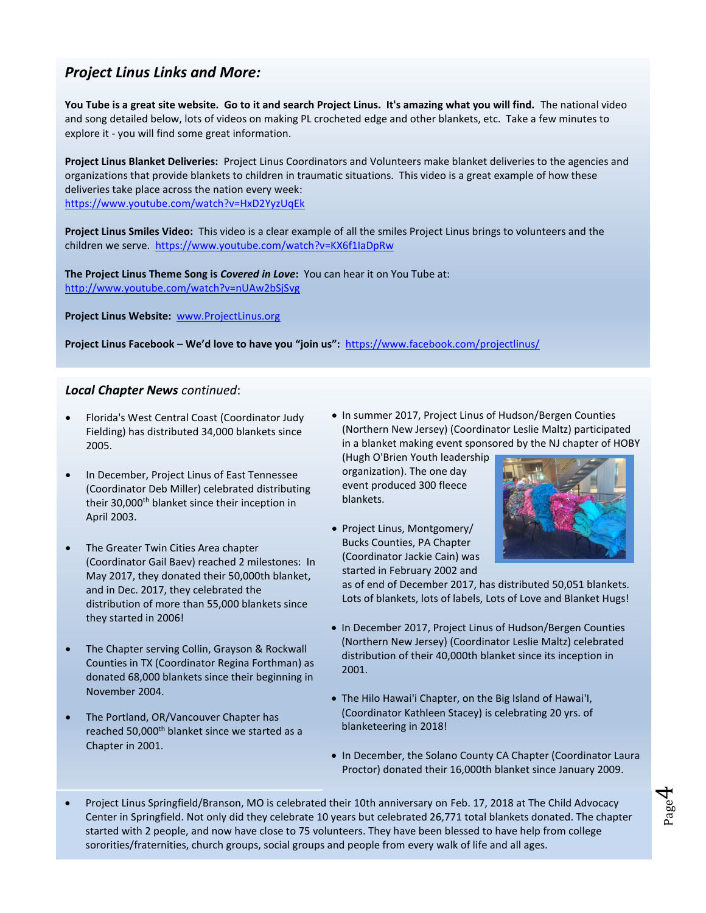## *Project Linus Links and More:*

**You Tube is a great site website. Go to it and search Project Linus. It's amazing what you will find.** The national video and song detailed below, lots of videos on making PL crocheted edge and other blankets, etc. Take a few minutes to explore it - you will find some great information.

**Project Linus Blanket Deliveries:** Project Linus Coordinators and Volunteers make blanket deliveries to the agencies and organizations that provide blankets to children in traumatic situations. This video is a great example of how these deliveries take place across the nation every week: <https://www.youtube.com/watch?v=HxD2YyzUqEk>

**Project Linus Smiles Video:** This video is a clear example of all the smiles Project Linus brings to volunteers and the children we serve. <https://www.youtube.com/watch?v=KX6f1IaDpRw>

**The Project Linus Theme Song is** *Covered in Love***:** You can hear it on You Tube at: <http://www.youtube.com/watch?v=nUAw2bSjSvg>

**Project Linus Website:** [www.ProjectLinus.org](http://www.projectlinus.org/)

**Project Linus Facebook – We'd love to have you "join us":** <https://www.facebook.com/projectlinus/>

#### *Local Chapter News continued*:

- Florida's West Central Coast (Coordinator Judy Fielding) has distributed 34,000 blankets since 2005.
- In December, Project Linus of East Tennessee (Coordinator Deb Miller) celebrated distributing their 30,000<sup>th</sup> blanket since their inception in April 2003.
- The Greater Twin Cities Area chapter (Coordinator Gail Baev) reached 2 milestones: In May 2017, they donated their 50,000th blanket, and in Dec. 2017, they celebrated the distribution of more than 55,000 blankets since they started in 2006!
- The Chapter serving Collin, Grayson & Rockwall Counties in TX (Coordinator Regina Forthman) as donated 68,000 blankets since their beginning in November 2004.
- The Portland, OR/Vancouver Chapter has reached 50,000<sup>th</sup> blanket since we started as a Chapter in 2001.

• In summer 2017, Project Linus of Hudson/Bergen Counties (Northern New Jersey) (Coordinator Leslie Maltz) participated in a blanket making event sponsored by the NJ chapter of HOBY

(Hugh O'Brien Youth leadership organization). The one day event produced 300 fleece blankets.

• Project Linus, Montgomery/ Bucks Counties, PA Chapter (Coordinator Jackie Cain) was started in February 2002 and



Page 4

as of end of December 2017, has distributed 50,051 blankets. Lots of blankets, lots of labels, Lots of Love and Blanket Hugs!

- In December 2017, Project Linus of Hudson/Bergen Counties (Northern New Jersey) (Coordinator Leslie Maltz) celebrated distribution of their 40,000th blanket since its inception in 2001.
- The Hilo Hawai'i Chapter, on the Big Island of Hawai'I, (Coordinator Kathleen Stacey) is celebrating 20 yrs. of blanketeering in 2018!
- In December, the Solano County CA Chapter (Coordinator Laura Proctor) donated their 16,000th blanket since January 2009.
- Project Linus Springfield/Branson, MO is celebrated their 10th anniversary on Feb. 17, 2018 at The Child Advocacy Center in Springfield. Not only did they celebrate 10 years but celebrated 26,771 total blankets donated. The chapter started with 2 people, and now have close to 75 volunteers. They have been blessed to have help from college sororities/fraternities, church groups, social groups and people from every walk of life and all ages.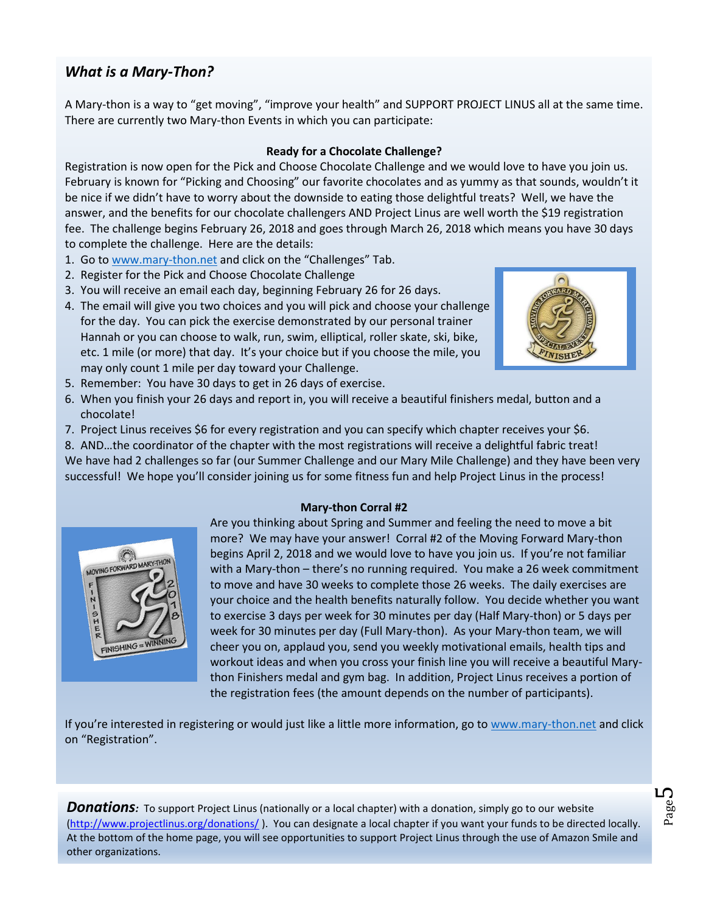# *What is a Mary-Thon?*

A Mary-thon is a way to "get moving", "improve your health" and SUPPORT PROJECT LINUS all at the same time. There are currently two Mary-thon Events in which you can participate:

### **Ready for a Chocolate Challenge?**

Registration is now open for the Pick and Choose Chocolate Challenge and we would love to have you join us. February is known for "Picking and Choosing" our favorite chocolates and as yummy as that sounds, wouldn't it be nice if we didn't have to worry about the downside to eating those delightful treats? Well, we have the answer, and the benefits for our chocolate challengers AND Project Linus are well worth the \$19 registration fee. The challenge begins February 26, 2018 and goes through March 26, 2018 which means you have 30 days to complete the challenge. Here are the details:

- 1. Go to [www.mary-thon.net](http://www.mary-thon.net/) and click on the "Challenges" Tab.
- 2. Register for the Pick and Choose Chocolate Challenge
- 3. You will receive an email each day, beginning February 26 for 26 days.
- 4. The email will give you two choices and you will pick and choose your challenge for the day. You can pick the exercise demonstrated by our personal trainer Hannah or you can choose to walk, run, swim, elliptical, roller skate, ski, bike, etc. 1 mile (or more) that day. It's your choice but if you choose the mile, you may only count 1 mile per day toward your Challenge.



- 5. Remember: You have 30 days to get in 26 days of exercise.
- 6. When you finish your 26 days and report in, you will receive a beautiful finishers medal, button and a chocolate!
- 7. Project Linus receives \$6 for every registration and you can specify which chapter receives your \$6.
- 8. AND…the coordinator of the chapter with the most registrations will receive a delightful fabric treat!

We have had 2 challenges so far (our Summer Challenge and our Mary Mile Challenge) and they have been very successful! We hope you'll consider joining us for some fitness fun and help Project Linus in the process!





Are you thinking about Spring and Summer and feeling the need to move a bit more? We may have your answer! Corral #2 of the Moving Forward Mary-thon begins April 2, 2018 and we would love to have you join us. If you're not familiar with a Mary-thon – there's no running required. You make a 26 week commitment to move and have 30 weeks to complete those 26 weeks. The daily exercises are your choice and the health benefits naturally follow. You decide whether you want to exercise 3 days per week for 30 minutes per day (Half Mary-thon) or 5 days per week for 30 minutes per day (Full Mary-thon). As your Mary-thon team, we will cheer you on, applaud you, send you weekly motivational emails, health tips and workout ideas and when you cross your finish line you will receive a beautiful Marython Finishers medal and gym bag. In addition, Project Linus receives a portion of the registration fees (the amount depends on the number of participants).

If you're interested in registering or would just like a little more information, go t[o www.mary-thon.net](http://www.mary-thon.net/) and click on "Registration".

**Donations**: To support Project Linus (nationally or a local chapter) with a donation, simply go to our website [\(http://www.projectlinus.org/donations/](http://www.projectlinus.org/donations/) ). You can designate a local chapter if you want your funds to be directed locally. At the bottom of the home page, you will see opportunities to support Project Linus through the use of Amazon Smile and other organizations.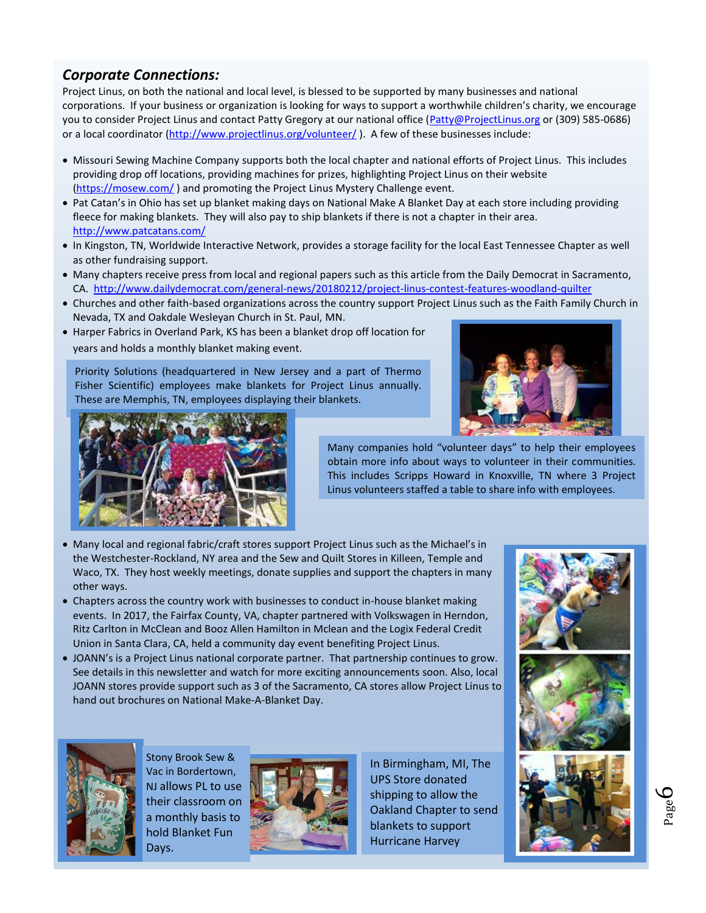# *Corporate Connections:*

Project Linus, on both the national and local level, is blessed to be supported by many businesses and national corporations. If your business or organization is looking for ways to support a worthwhile children's charity, we encourage you to consider Project Linus and contact Patty Gregory at our national office [\(Patty@ProjectLinus.org](mailto:Patty@ProjectLinus.org) or (309) 585-0686) or a local coordinator [\(http://www.projectlinus.org/volunteer/](http://www.projectlinus.org/volunteer/)). A few of these businesses include:

- Missouri Sewing Machine Company supports both the local chapter and national efforts of Project Linus. This includes providing drop off locations, providing machines for prizes, highlighting Project Linus on their website [\(https://mosew.com/](https://mosew.com/)) and promoting the Project Linus Mystery Challenge event.
- Pat Catan's in Ohio has set up blanket making days on National Make A Blanket Day at each store including providing fleece for making blankets. They will also pay to ship blankets if there is not a chapter in their area. <http://www.patcatans.com/>
- In Kingston, TN, Worldwide Interactive Network, provides a storage facility for the local East Tennessee Chapter as well as other fundraising support.
- Many chapters receive press from local and regional papers such as this article from the Daily Democrat in Sacramento, CA.<http://www.dailydemocrat.com/general-news/20180212/project-linus-contest-features-woodland-quilter>
- Churches and other faith-based organizations across the country support Project Linus such as the Faith Family Church in Nevada, TX and Oakdale Wesleyan Church in St. Paul, MN.
- Harper Fabrics in Overland Park, KS has been a blanket drop off location for years and holds a monthly blanket making event.

Priority Solutions (headquartered in New Jersey and a part of Thermo Fisher Scientific) employees make blankets for Project Linus annually. These are Memphis, TN, employees displaying their blankets.





Many companies hold "volunteer days" to help their employees obtain more info about ways to volunteer in their communities. This includes Scripps Howard in Knoxville, TN where 3 Project Linus volunteers staffed a table to share info with employees.

- Many local and regional fabric/craft stores support Project Linus such as the Michael's in the Westchester-Rockland, NY area and the Sew and Quilt Stores in Killeen, Temple and Waco, TX. They host weekly meetings, donate supplies and support the chapters in many other ways.
- Chapters across the country work with businesses to conduct in-house blanket making events. In 2017, the Fairfax County, VA, chapter partnered with Volkswagen in Herndon, Ritz Carlton in McClean and Booz Allen Hamilton in Mclean and the Logix Federal Credit Union in Santa Clara, CA, held a community day event benefiting Project Linus.
- JOANN's is a Project Linus national corporate partner. That partnership continues to grow. See details in this newsletter and watch for more exciting announcements soon. Also, local JOANN stores provide support such as 3 of the Sacramento, CA stores allow Project Linus to hand out brochures on National Make-A-Blanket Day.







Stony Brook Sew & Vac in Bordertown, NJ allows PL to use their classroom on a monthly basis to hold Blanket Fun Days.



In Birmingham, MI, The UPS Store donated shipping to allow the Oakland Chapter to send blankets to support Hurricane Harvey



Page 6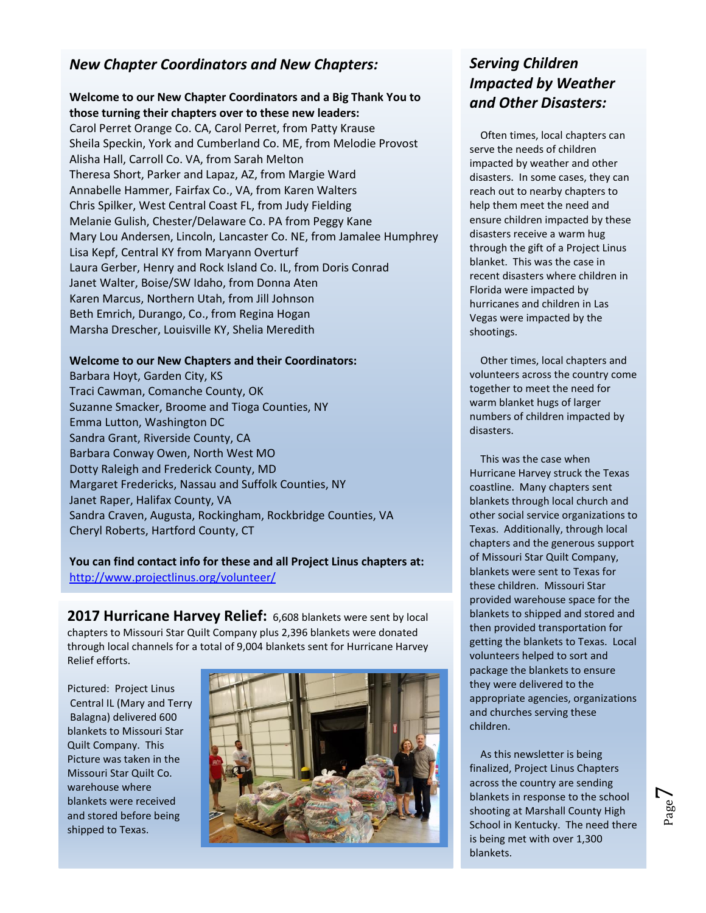## *New Chapter Coordinators and New Chapters:*

#### **Welcome to our New Chapter Coordinators and a Big Thank You to those turning their chapters over to these new leaders:**

Carol Perret Orange Co. CA, Carol Perret, from Patty Krause Sheila Speckin, York and Cumberland Co. ME, from Melodie Provost Alisha Hall, Carroll Co. VA, from Sarah Melton Theresa Short, Parker and Lapaz, AZ, from Margie Ward Annabelle Hammer, Fairfax Co., VA, from Karen Walters Chris Spilker, West Central Coast FL, from Judy Fielding Melanie Gulish, Chester/Delaware Co. PA from Peggy Kane Mary Lou Andersen, Lincoln, Lancaster Co. NE, from Jamalee Humphrey Lisa Kepf, Central KY from Maryann Overturf Laura Gerber, Henry and Rock Island Co. IL, from Doris Conrad Janet Walter, Boise/SW Idaho, from Donna Aten Karen Marcus, Northern Utah, from Jill Johnson Beth Emrich, Durango, Co., from Regina Hogan Marsha Drescher, Louisville KY, Shelia Meredith

#### **Welcome to our New Chapters and their Coordinators:**

Barbara Hoyt, Garden City, KS Traci Cawman, Comanche County, OK Suzanne Smacker, Broome and Tioga Counties, NY Emma Lutton, Washington DC Sandra Grant, Riverside County, CA Barbara Conway Owen, North West MO Dotty Raleigh and Frederick County, MD Margaret Fredericks, Nassau and Suffolk Counties, NY Janet Raper, Halifax County, VA Sandra Craven, Augusta, Rockingham, Rockbridge Counties, VA Cheryl Roberts, Hartford County, CT

### **You can find contact info for these and all Project Linus chapters at:** <http://www.projectlinus.org/volunteer/>

**2017 Hurricane Harvey Relief:** 6,608 blankets were sent by local chapters to Missouri Star Quilt Company plus 2,396 blankets were donated through local channels for a total of 9,004 blankets sent for Hurricane Harvey Relief efforts.

Pictured: Project Linus Central IL (Mary and Terry Balagna) delivered 600 blankets to Missouri Star Quilt Company. This Picture was taken in the Missouri Star Quilt Co. warehouse where blankets were received and stored before being shipped to Texas.



# *Serving Children Impacted by Weather and Other Disasters:*

Often times, local chapters can serve the needs of children impacted by weather and other disasters. In some cases, they can reach out to nearby chapters to help them meet the need and ensure children impacted by these disasters receive a warm hug through the gift of a Project Linus blanket. This was the case in recent disasters where children in Florida were impacted by hurricanes and children in Las Vegas were impacted by the shootings.

Other times, local chapters and volunteers across the country come together to meet the need for warm blanket hugs of larger numbers of children impacted by disasters.

This was the case when Hurricane Harvey struck the Texas coastline. Many chapters sent blankets through local church and other social service organizations to Texas. Additionally, through local chapters and the generous support of Missouri Star Quilt Company, blankets were sent to Texas for these children. Missouri Star provided warehouse space for the blankets to shipped and stored and then provided transportation for getting the blankets to Texas. Local volunteers helped to sort and package the blankets to ensure they were delivered to the appropriate agencies, organizations and churches serving these children.

As this newsletter is being finalized, Project Linus Chapters across the country are sending blankets in response to the school shooting at Marshall County High School in Kentucky. The need there is being met with over 1,300 blankets.